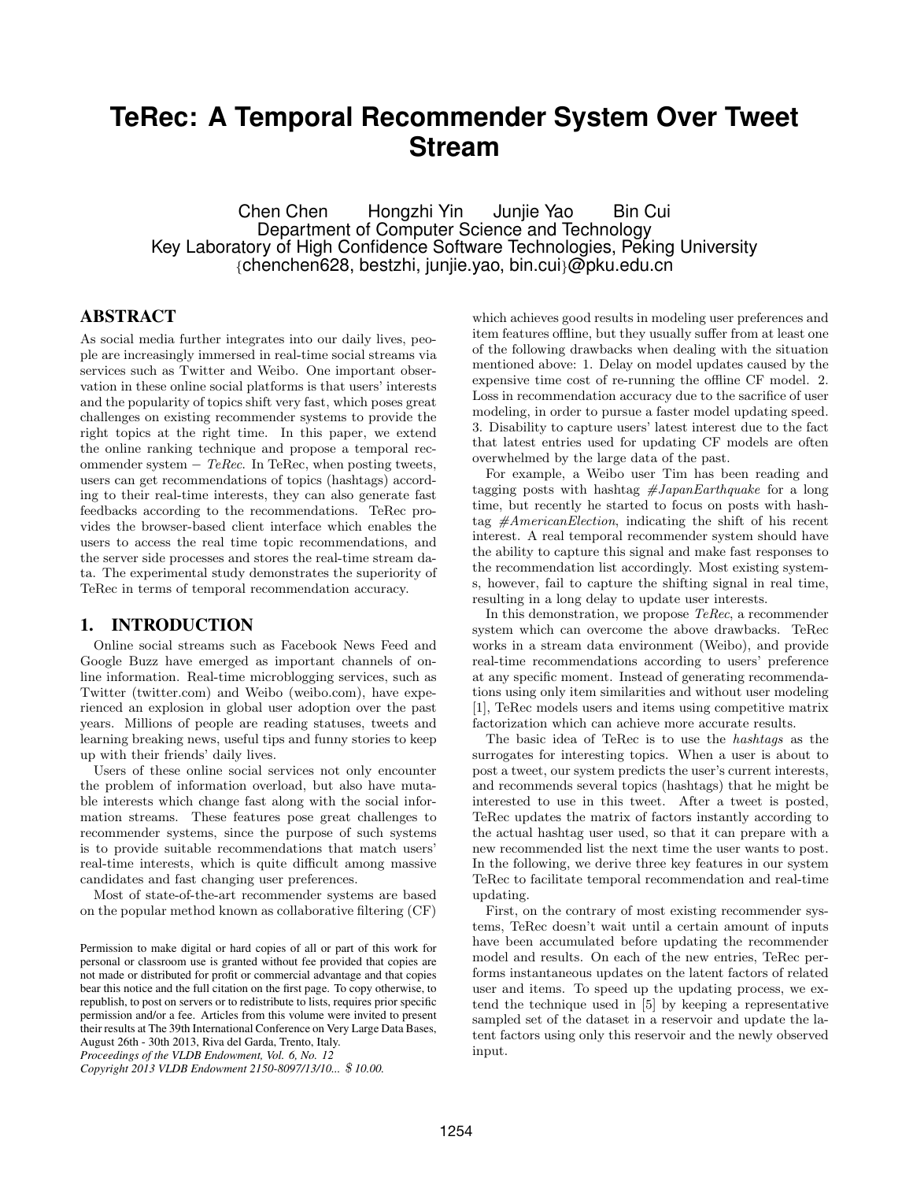# **TeRec: A Temporal Recommender System Over Tweet Stream**

Chen Chen Hongzhi Yin Junjie Yao Bin Cui Department of Computer Science and Technology Key Laboratory of High Confidence Software Technologies, Peking University {chenchen628, bestzhi, junjie.yao, bin.cui}@pku.edu.cn

# ABSTRACT

As social media further integrates into our daily lives, people are increasingly immersed in real-time social streams via services such as Twitter and Weibo. One important observation in these online social platforms is that users' interests and the popularity of topics shift very fast, which poses great challenges on existing recommender systems to provide the right topics at the right time. In this paper, we extend the online ranking technique and propose a temporal recommender system  $-$  TeRec. In TeRec, when posting tweets, users can get recommendations of topics (hashtags) according to their real-time interests, they can also generate fast feedbacks according to the recommendations. TeRec provides the browser-based client interface which enables the users to access the real time topic recommendations, and the server side processes and stores the real-time stream data. The experimental study demonstrates the superiority of TeRec in terms of temporal recommendation accuracy.

#### 1. INTRODUCTION

Online social streams such as Facebook News Feed and Google Buzz have emerged as important channels of online information. Real-time microblogging services, such as Twitter (twitter.com) and Weibo (weibo.com), have experienced an explosion in global user adoption over the past years. Millions of people are reading statuses, tweets and learning breaking news, useful tips and funny stories to keep up with their friends' daily lives.

Users of these online social services not only encounter the problem of information overload, but also have mutable interests which change fast along with the social information streams. These features pose great challenges to recommender systems, since the purpose of such systems is to provide suitable recommendations that match users' real-time interests, which is quite difficult among massive candidates and fast changing user preferences.

Most of state-of-the-art recommender systems are based on the popular method known as collaborative filtering (CF)

which achieves good results in modeling user preferences and item features offline, but they usually suffer from at least one of the following drawbacks when dealing with the situation mentioned above: 1. Delay on model updates caused by the expensive time cost of re-running the offline CF model. 2. Loss in recommendation accuracy due to the sacrifice of user modeling, in order to pursue a faster model updating speed. 3. Disability to capture users' latest interest due to the fact that latest entries used for updating CF models are often overwhelmed by the large data of the past.

For example, a Weibo user Tim has been reading and tagging posts with hashtag #JapanEarthquake for a long time, but recently he started to focus on posts with hashtag #AmericanElection, indicating the shift of his recent interest. A real temporal recommender system should have the ability to capture this signal and make fast responses to the recommendation list accordingly. Most existing systems, however, fail to capture the shifting signal in real time, resulting in a long delay to update user interests.

In this demonstration, we propose TeRec, a recommender system which can overcome the above drawbacks. TeRec works in a stream data environment (Weibo), and provide real-time recommendations according to users' preference at any specific moment. Instead of generating recommendations using only item similarities and without user modeling [1], TeRec models users and items using competitive matrix factorization which can achieve more accurate results.

The basic idea of TeRec is to use the hashtags as the surrogates for interesting topics. When a user is about to post a tweet, our system predicts the user's current interests, and recommends several topics (hashtags) that he might be interested to use in this tweet. After a tweet is posted, TeRec updates the matrix of factors instantly according to the actual hashtag user used, so that it can prepare with a new recommended list the next time the user wants to post. In the following, we derive three key features in our system TeRec to facilitate temporal recommendation and real-time updating.

First, on the contrary of most existing recommender systems, TeRec doesn't wait until a certain amount of inputs have been accumulated before updating the recommender model and results. On each of the new entries, TeRec performs instantaneous updates on the latent factors of related user and items. To speed up the updating process, we extend the technique used in [5] by keeping a representative sampled set of the dataset in a reservoir and update the latent factors using only this reservoir and the newly observed input.

Permission to make digital or hard copies of all or part of this work for personal or classroom use is granted without fee provided that copies are not made or distributed for profit or commercial advantage and that copies bear this notice and the full citation on the first page. To copy otherwise, to republish, to post on servers or to redistribute to lists, requires prior specific permission and/or a fee. Articles from this volume were invited to present their results at The 39th International Conference on Very Large Data Bases, August 26th - 30th 2013, Riva del Garda, Trento, Italy.

*Proceedings of the VLDB Endowment, Vol. 6, No. 12*

*Copyright 2013 VLDB Endowment 2150-8097/13/10...* \$ *10.00.*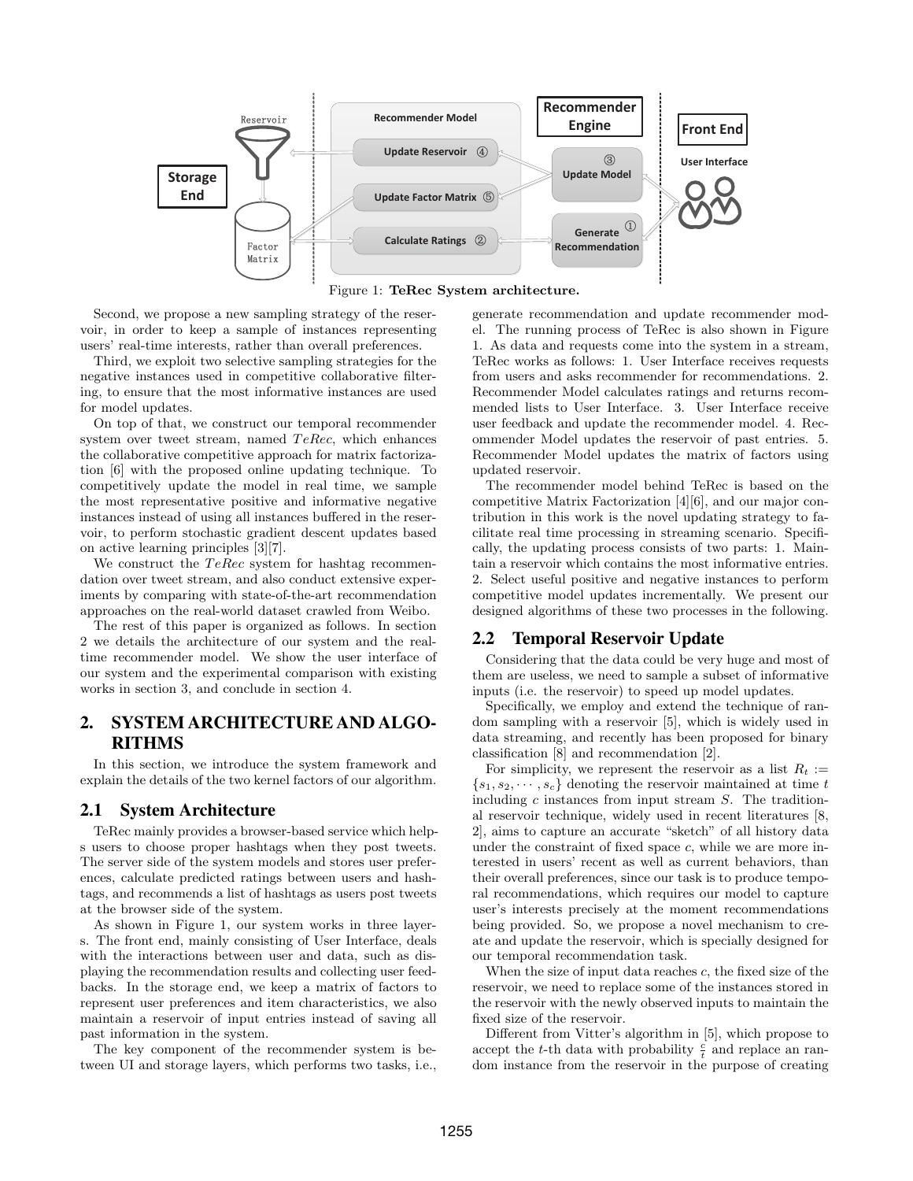

Figure 1: TeRec System architecture.

Second, we propose a new sampling strategy of the reservoir, in order to keep a sample of instances representing users' real-time interests, rather than overall preferences.

Third, we exploit two selective sampling strategies for the negative instances used in competitive collaborative filtering, to ensure that the most informative instances are used for model updates.

On top of that, we construct our temporal recommender system over tweet stream, named  $TeRec$ , which enhances the collaborative competitive approach for matrix factorization [6] with the proposed online updating technique. To competitively update the model in real time, we sample the most representative positive and informative negative instances instead of using all instances buffered in the reservoir, to perform stochastic gradient descent updates based on active learning principles [3][7].

We construct the  $TeRec$  system for hashtag recommendation over tweet stream, and also conduct extensive experiments by comparing with state-of-the-art recommendation approaches on the real-world dataset crawled from Weibo.

The rest of this paper is organized as follows. In section 2 we details the architecture of our system and the realtime recommender model. We show the user interface of our system and the experimental comparison with existing works in section 3, and conclude in section 4.

# 2. SYSTEM ARCHITECTURE AND ALGO-RITHMS

In this section, we introduce the system framework and explain the details of the two kernel factors of our algorithm.

#### 2.1 System Architecture

TeRec mainly provides a browser-based service which helps users to choose proper hashtags when they post tweets. The server side of the system models and stores user preferences, calculate predicted ratings between users and hashtags, and recommends a list of hashtags as users post tweets at the browser side of the system.

As shown in Figure 1, our system works in three layers. The front end, mainly consisting of User Interface, deals with the interactions between user and data, such as displaying the recommendation results and collecting user feedbacks. In the storage end, we keep a matrix of factors to represent user preferences and item characteristics, we also maintain a reservoir of input entries instead of saving all past information in the system.

The key component of the recommender system is between UI and storage layers, which performs two tasks, i.e., generate recommendation and update recommender model. The running process of TeRec is also shown in Figure 1. As data and requests come into the system in a stream, TeRec works as follows: 1. User Interface receives requests from users and asks recommender for recommendations. 2. Recommender Model calculates ratings and returns recommended lists to User Interface. 3. User Interface receive user feedback and update the recommender model. 4. Recommender Model updates the reservoir of past entries. 5. Recommender Model updates the matrix of factors using updated reservoir.

The recommender model behind TeRec is based on the competitive Matrix Factorization [4][6], and our major contribution in this work is the novel updating strategy to facilitate real time processing in streaming scenario. Specifically, the updating process consists of two parts: 1. Maintain a reservoir which contains the most informative entries. 2. Select useful positive and negative instances to perform competitive model updates incrementally. We present our designed algorithms of these two processes in the following.

# 2.2 Temporal Reservoir Update

Considering that the data could be very huge and most of them are useless, we need to sample a subset of informative inputs (i.e. the reservoir) to speed up model updates.

Specifically, we employ and extend the technique of random sampling with a reservoir [5], which is widely used in data streaming, and recently has been proposed for binary classification [8] and recommendation [2].

For simplicity, we represent the reservoir as a list  $R_t :=$  ${s_1, s_2, \dots, s_c}$  denoting the reservoir maintained at time t including  $c$  instances from input stream  $S$ . The traditional reservoir technique, widely used in recent literatures [8, 2], aims to capture an accurate "sketch" of all history data under the constraint of fixed space  $c$ , while we are more interested in users' recent as well as current behaviors, than their overall preferences, since our task is to produce temporal recommendations, which requires our model to capture user's interests precisely at the moment recommendations being provided. So, we propose a novel mechanism to create and update the reservoir, which is specially designed for our temporal recommendation task.

When the size of input data reaches c, the fixed size of the reservoir, we need to replace some of the instances stored in the reservoir with the newly observed inputs to maintain the fixed size of the reservoir.

Different from Vitter's algorithm in [5], which propose to accept the t-th data with probability  $\frac{c}{t}$  and replace an random instance from the reservoir in the purpose of creating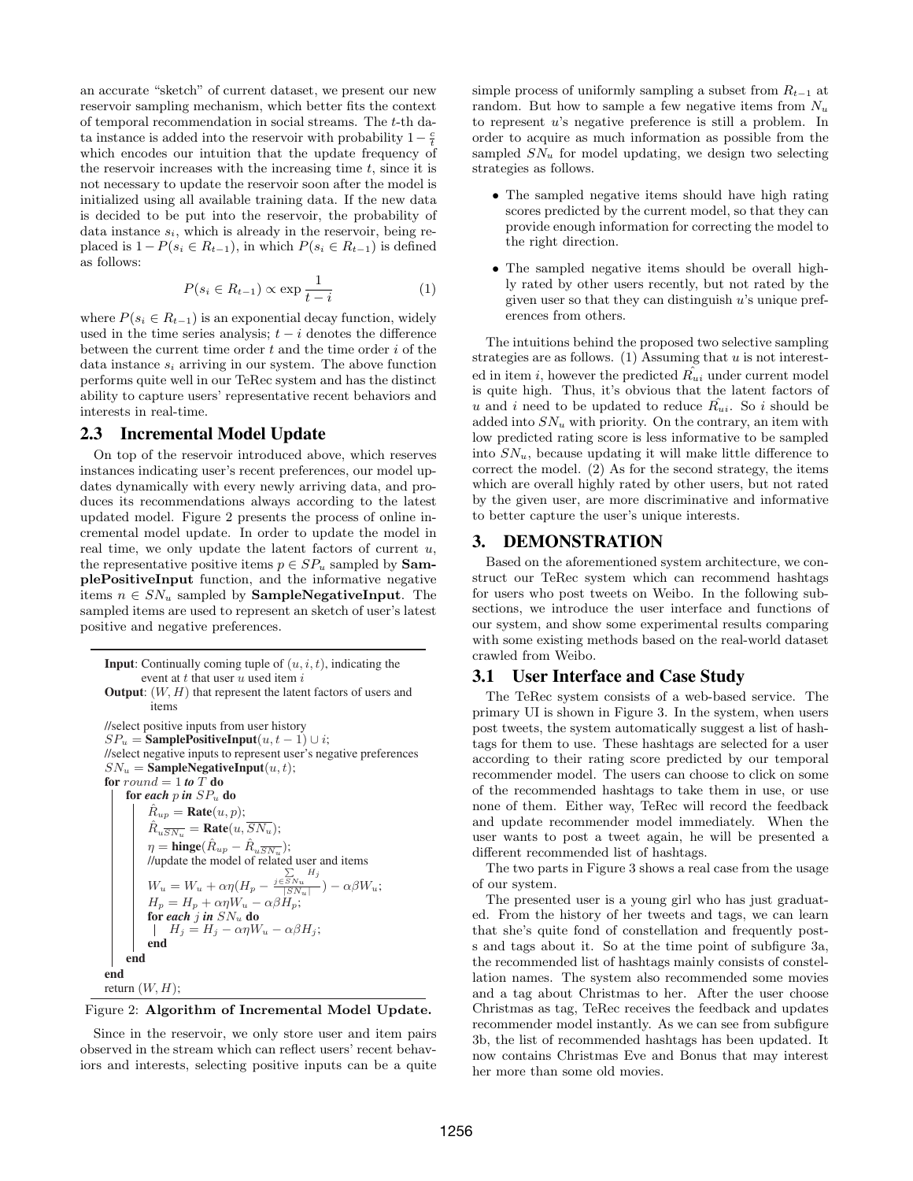an accurate "sketch" of current dataset, we present our new reservoir sampling mechanism, which better fits the context of temporal recommendation in social streams. The t-th data instance is added into the reservoir with probability  $1-\frac{c}{t}$ which encodes our intuition that the update frequency of the reservoir increases with the increasing time  $t$ , since it is not necessary to update the reservoir soon after the model is initialized using all available training data. If the new data is decided to be put into the reservoir, the probability of data instance  $s_i$ , which is already in the reservoir, being replaced is  $1-P(s_i \in R_{t-1})$ , in which  $P(s_i \in R_{t-1})$  is defined as follows:

$$
P(s_i \in R_{t-1}) \propto \exp \frac{1}{t-i}
$$
 (1)

where  $P(s_i \in R_{t-1})$  is an exponential decay function, widely used in the time series analysis;  $t - i$  denotes the difference between the current time order  $t$  and the time order  $i$  of the data instance  $s_i$  arriving in our system. The above function performs quite well in our TeRec system and has the distinct ability to capture users' representative recent behaviors and interests in real-time.

## 2.3 Incremental Model Update

On top of the reservoir introduced above, which reserves instances indicating user's recent preferences, our model updates dynamically with every newly arriving data, and produces its recommendations always according to the latest updated model. Figure 2 presents the process of online incremental model update. In order to update the model in real time, we only update the latent factors of current  $u$ , the representative positive items  $p \in SP_u$  sampled by **Sam**plePositiveInput function, and the informative negative items  $n \in SN_u$  sampled by **SampleNegativeInput**. The sampled items are used to represent an sketch of user's latest positive and negative preferences. Algorithm 3: updateModel

```
Input: Continually coming tuple of (u, i, t), indicating the
         event at t that user u used item iOutput: (W, H) that represent the latent factors of users and
            items
//select positive inputs from user history
SP_u =SamplePositiveInput(u, t - 1) \cup i;
//select negative inputs to represent user's negative preferences
SN_u =SampleNegativeInput(u, t);
for round = 1 to T do
     for each p in SPu do
            \hat{R}_{up} = \textbf{Rate}(u, p);\hat{R}_{u\overline{SN_u}} = \textbf{Rate}(u, \overline{SN_u});\eta = \text{hinge}(\hat{R}_{up} - \hat{R}_{u\overline{SN}_u});//update the model of related user and items
            W_u = W_u + \alpha \eta (H_p -\frac{\sum\limits_{j \in SN_u} H_j}{\left|\sum\limits_{j \in N_u} N_u\right|} – \alpha\beta W_u;
            H_p = H_p + \alpha \eta W_u - \alpha \beta H_p;for each j in SN_u do
            H_j = H_j - \alpha \eta W_u - \alpha \beta H_j;end
     end
end
return (W, H);
```


Since in the reservoir, we only store user and item pairs observed in the stream which can reflect users' recent behaviors and interests, selecting positive inputs can be a quite simple process of uniformly sampling a subset from  $R_{t-1}$  at random. But how to sample a few negative items from  $N_u$ to represent u's negative preference is still a problem. In order to acquire as much information as possible from the sampled  $SN_u$  for model updating, we design two selecting strategies as follows.

- The sampled negative items should have high rating scores predicted by the current model, so that they can provide enough information for correcting the model to the right direction.
- The sampled negative items should be overall highly rated by other users recently, but not rated by the given user so that they can distinguish  $u$ 's unique preferences from others.

The intuitions behind the proposed two selective sampling strategies are as follows. (1) Assuming that  $u$  is not interested in item i, however the predicted  $\hat{R}_{ui}$  under current model is quite high. Thus, it's obvious that the latent factors of u and i need to be updated to reduce  $R_{ui}$ . So i should be added into  $SN_u$  with priority. On the contrary, an item with low predicted rating score is less informative to be sampled into  $SN_u$ , because updating it will make little difference to correct the model. (2) As for the second strategy, the items which are overall highly rated by other users, but not rated by the given user, are more discriminative and informative to better capture the user's unique interests.

# 3. DEMONSTRATION

Based on the aforementioned system architecture, we construct our TeRec system which can recommend hashtags for users who post tweets on Weibo. In the following subsections, we introduce the user interface and functions of our system, and show some experimental results comparing with some existing methods based on the real-world dataset crawled from Weibo.

#### 3.1 User Interface and Case Study

The TeRec system consists of a web-based service. The primary UI is shown in Figure 3. In the system, when users post tweets, the system automatically suggest a list of hashtags for them to use. These hashtags are selected for a user according to their rating score predicted by our temporal recommender model. The users can choose to click on some of the recommended hashtags to take them in use, or use none of them. Either way, TeRec will record the feedback and update recommender model immediately. When the user wants to post a tweet again, he will be presented a different recommended list of hashtags.

The two parts in Figure 3 shows a real case from the usage of our system.

The presented user is a young girl who has just graduated. From the history of her tweets and tags, we can learn that she's quite fond of constellation and frequently posts and tags about it. So at the time point of subfigure 3a, the recommended list of hashtags mainly consists of constellation names. The system also recommended some movies and a tag about Christmas to her. After the user choose Christmas as tag, TeRec receives the feedback and updates recommender model instantly. As we can see from subfigure 3b, the list of recommended hashtags has been updated. It now contains Christmas Eve and Bonus that may interest her more than some old movies.